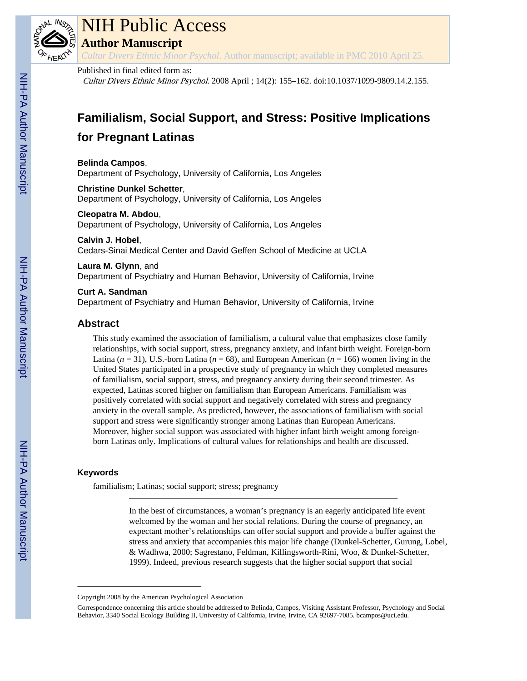

# NIH Public Access

**Author Manuscript**

*Cultur Divers Ethnic Minor Psychol*. Author manuscript; available in PMC 2010 April 25.

#### Published in final edited form as:

Cultur Divers Ethnic Minor Psychol. 2008 April ; 14(2): 155–162. doi:10.1037/1099-9809.14.2.155.

## **Familialism, Social Support, and Stress: Positive Implications for Pregnant Latinas**

**Belinda Campos**, Department of Psychology, University of California, Los Angeles

**Christine Dunkel Schetter**, Department of Psychology, University of California, Los Angeles

#### **Cleopatra M. Abdou**,

Department of Psychology, University of California, Los Angeles

#### **Calvin J. Hobel**,

Cedars-Sinai Medical Center and David Geffen School of Medicine at UCLA

#### **Laura M. Glynn**, and Department of Psychiatry and Human Behavior, University of California, Irvine

#### **Curt A. Sandman** Department of Psychiatry and Human Behavior, University of California, Irvine

### **Abstract**

This study examined the association of familialism, a cultural value that emphasizes close family relationships, with social support, stress, pregnancy anxiety, and infant birth weight. Foreign-born Latina  $(n = 31)$ , U.S.-born Latina  $(n = 68)$ , and European American  $(n = 166)$  women living in the United States participated in a prospective study of pregnancy in which they completed measures of familialism, social support, stress, and pregnancy anxiety during their second trimester. As expected, Latinas scored higher on familialism than European Americans. Familialism was positively correlated with social support and negatively correlated with stress and pregnancy anxiety in the overall sample. As predicted, however, the associations of familialism with social support and stress were significantly stronger among Latinas than European Americans. Moreover, higher social support was associated with higher infant birth weight among foreignborn Latinas only. Implications of cultural values for relationships and health are discussed.

#### **Keywords**

familialism; Latinas; social support; stress; pregnancy

In the best of circumstances, a woman's pregnancy is an eagerly anticipated life event welcomed by the woman and her social relations. During the course of pregnancy, an expectant mother's relationships can offer social support and provide a buffer against the stress and anxiety that accompanies this major life change (Dunkel-Schetter, Gurung, Lobel, & Wadhwa, 2000; Sagrestano, Feldman, Killingsworth-Rini, Woo, & Dunkel-Schetter, 1999). Indeed, previous research suggests that the higher social support that social

Copyright 2008 by the American Psychological Association

Correspondence concerning this article should be addressed to Belinda, Campos, Visiting Assistant Professor, Psychology and Social Behavior, 3340 Social Ecology Building II, University of California, Irvine, Irvine, CA 92697-7085. bcampos@uci.edu.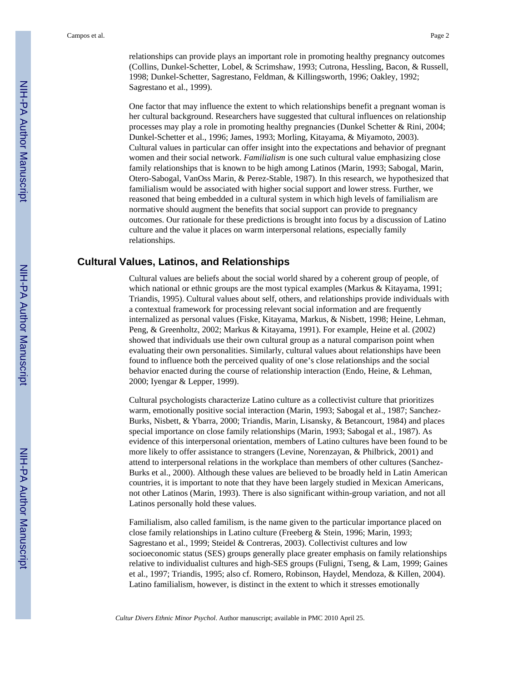relationships can provide plays an important role in promoting healthy pregnancy outcomes (Collins, Dunkel-Schetter, Lobel, & Scrimshaw, 1993; Cutrona, Hessling, Bacon, & Russell, 1998; Dunkel-Schetter, Sagrestano, Feldman, & Killingsworth, 1996; Oakley, 1992; Sagrestano et al., 1999).

One factor that may influence the extent to which relationships benefit a pregnant woman is her cultural background. Researchers have suggested that cultural influences on relationship processes may play a role in promoting healthy pregnancies (Dunkel Schetter & Rini, 2004; Dunkel-Schetter et al., 1996; James, 1993; Morling, Kitayama, & Miyamoto, 2003). Cultural values in particular can offer insight into the expectations and behavior of pregnant women and their social network. *Familialism* is one such cultural value emphasizing close family relationships that is known to be high among Latinos (Marin, 1993; Sabogal, Marin, Otero-Sabogal, VanOss Marin, & Perez-Stable, 1987). In this research, we hypothesized that familialism would be associated with higher social support and lower stress. Further, we reasoned that being embedded in a cultural system in which high levels of familialism are normative should augment the benefits that social support can provide to pregnancy outcomes. Our rationale for these predictions is brought into focus by a discussion of Latino culture and the value it places on warm interpersonal relations, especially family relationships.

#### **Cultural Values, Latinos, and Relationships**

Cultural values are beliefs about the social world shared by a coherent group of people, of which national or ethnic groups are the most typical examples (Markus & Kitayama, 1991; Triandis, 1995). Cultural values about self, others, and relationships provide individuals with a contextual framework for processing relevant social information and are frequently internalized as personal values (Fiske, Kitayama, Markus, & Nisbett, 1998; Heine, Lehman, Peng, & Greenholtz, 2002; Markus & Kitayama, 1991). For example, Heine et al. (2002) showed that individuals use their own cultural group as a natural comparison point when evaluating their own personalities. Similarly, cultural values about relationships have been found to influence both the perceived quality of one's close relationships and the social behavior enacted during the course of relationship interaction (Endo, Heine, & Lehman, 2000; Iyengar & Lepper, 1999).

Cultural psychologists characterize Latino culture as a collectivist culture that prioritizes warm, emotionally positive social interaction (Marin, 1993; Sabogal et al., 1987; Sanchez-Burks, Nisbett, & Ybarra, 2000; Triandis, Marin, Lisansky, & Betancourt, 1984) and places special importance on close family relationships (Marin, 1993; Sabogal et al., 1987). As evidence of this interpersonal orientation, members of Latino cultures have been found to be more likely to offer assistance to strangers (Levine, Norenzayan, & Philbrick, 2001) and attend to interpersonal relations in the workplace than members of other cultures (Sanchez-Burks et al., 2000). Although these values are believed to be broadly held in Latin American countries, it is important to note that they have been largely studied in Mexican Americans, not other Latinos (Marin, 1993). There is also significant within-group variation, and not all Latinos personally hold these values.

Familialism, also called familism, is the name given to the particular importance placed on close family relationships in Latino culture (Freeberg & Stein, 1996; Marin, 1993; Sagrestano et al., 1999; Steidel & Contreras, 2003). Collectivist cultures and low socioeconomic status (SES) groups generally place greater emphasis on family relationships relative to individualist cultures and high-SES groups (Fuligni, Tseng, & Lam, 1999; Gaines et al., 1997; Triandis, 1995; also cf. Romero, Robinson, Haydel, Mendoza, & Killen, 2004). Latino familialism, however, is distinct in the extent to which it stresses emotionally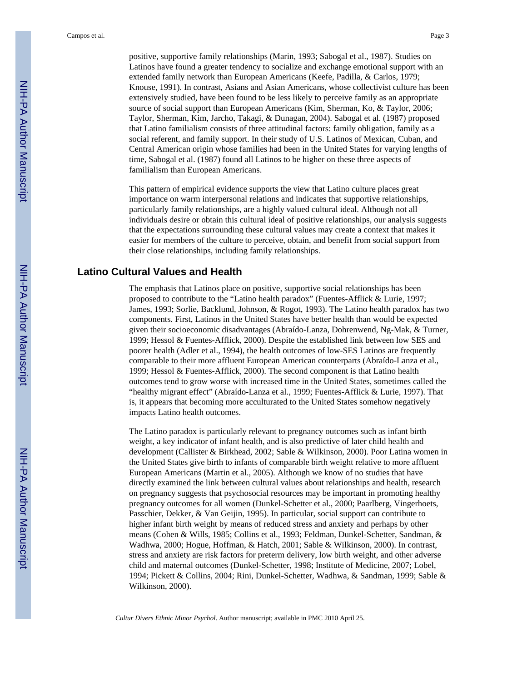positive, supportive family relationships (Marin, 1993; Sabogal et al., 1987). Studies on Latinos have found a greater tendency to socialize and exchange emotional support with an extended family network than European Americans (Keefe, Padilla, & Carlos, 1979; Knouse, 1991). In contrast, Asians and Asian Americans, whose collectivist culture has been extensively studied, have been found to be less likely to perceive family as an appropriate source of social support than European Americans (Kim, Sherman, Ko, & Taylor, 2006; Taylor, Sherman, Kim, Jarcho, Takagi, & Dunagan, 2004). Sabogal et al. (1987) proposed that Latino familialism consists of three attitudinal factors: family obligation, family as a social referent, and family support. In their study of U.S. Latinos of Mexican, Cuban, and Central American origin whose families had been in the United States for varying lengths of time, Sabogal et al. (1987) found all Latinos to be higher on these three aspects of familialism than European Americans.

This pattern of empirical evidence supports the view that Latino culture places great importance on warm interpersonal relations and indicates that supportive relationships, particularly family relationships, are a highly valued cultural ideal. Although not all individuals desire or obtain this cultural ideal of positive relationships, our analysis suggests that the expectations surrounding these cultural values may create a context that makes it easier for members of the culture to perceive, obtain, and benefit from social support from their close relationships, including family relationships.

#### **Latino Cultural Values and Health**

The emphasis that Latinos place on positive, supportive social relationships has been proposed to contribute to the "Latino health paradox" (Fuentes-Afflick & Lurie, 1997; James, 1993; Sorlie, Backlund, Johnson, & Rogot, 1993). The Latino health paradox has two components. First, Latinos in the United States have better health than would be expected given their socioeconomic disadvantages (Abraído-Lanza, Dohrenwend, Ng-Mak, & Turner, 1999; Hessol & Fuentes-Afflick, 2000). Despite the established link between low SES and poorer health (Adler et al., 1994), the health outcomes of low-SES Latinos are frequently comparable to their more affluent European American counterparts (Abraído-Lanza et al., 1999; Hessol & Fuentes-Afflick, 2000). The second component is that Latino health outcomes tend to grow worse with increased time in the United States, sometimes called the "healthy migrant effect" (Abraído-Lanza et al., 1999; Fuentes-Afflick & Lurie, 1997). That is, it appears that becoming more acculturated to the United States somehow negatively impacts Latino health outcomes.

The Latino paradox is particularly relevant to pregnancy outcomes such as infant birth weight, a key indicator of infant health, and is also predictive of later child health and development (Callister & Birkhead, 2002; Sable & Wilkinson, 2000). Poor Latina women in the United States give birth to infants of comparable birth weight relative to more affluent European Americans (Martin et al., 2005). Although we know of no studies that have directly examined the link between cultural values about relationships and health, research on pregnancy suggests that psychosocial resources may be important in promoting healthy pregnancy outcomes for all women (Dunkel-Schetter et al., 2000; Paarlberg, Vingerhoets, Passchier, Dekker, & Van Geijin, 1995). In particular, social support can contribute to higher infant birth weight by means of reduced stress and anxiety and perhaps by other means (Cohen & Wills, 1985; Collins et al., 1993; Feldman, Dunkel-Schetter, Sandman, & Wadhwa, 2000; Hogue, Hoffman, & Hatch, 2001; Sable & Wilkinson, 2000). In contrast, stress and anxiety are risk factors for preterm delivery, low birth weight, and other adverse child and maternal outcomes (Dunkel-Schetter, 1998; Institute of Medicine, 2007; Lobel, 1994; Pickett & Collins, 2004; Rini, Dunkel-Schetter, Wadhwa, & Sandman, 1999; Sable & Wilkinson, 2000).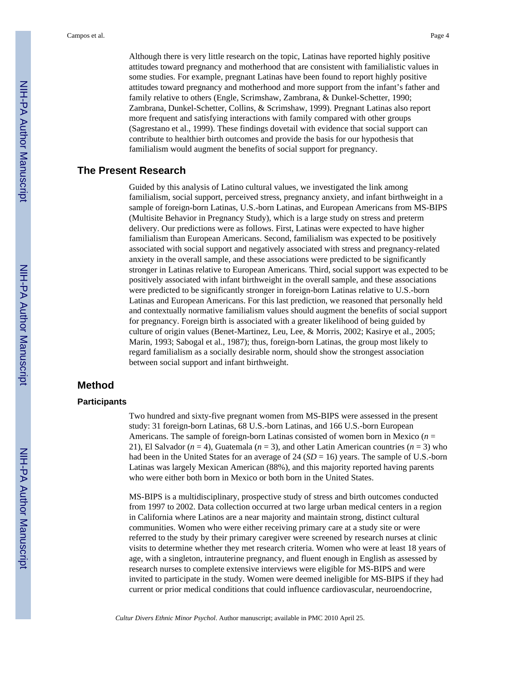Although there is very little research on the topic, Latinas have reported highly positive attitudes toward pregnancy and motherhood that are consistent with familialistic values in some studies. For example, pregnant Latinas have been found to report highly positive attitudes toward pregnancy and motherhood and more support from the infant's father and family relative to others (Engle, Scrimshaw, Zambrana, & Dunkel-Schetter, 1990; Zambrana, Dunkel-Schetter, Collins, & Scrimshaw, 1999). Pregnant Latinas also report more frequent and satisfying interactions with family compared with other groups (Sagrestano et al., 1999). These findings dovetail with evidence that social support can contribute to healthier birth outcomes and provide the basis for our hypothesis that familialism would augment the benefits of social support for pregnancy.

### **The Present Research**

Guided by this analysis of Latino cultural values, we investigated the link among familialism, social support, perceived stress, pregnancy anxiety, and infant birthweight in a sample of foreign-born Latinas, U.S.-born Latinas, and European Americans from MS-BIPS (Multisite Behavior in Pregnancy Study), which is a large study on stress and preterm delivery. Our predictions were as follows. First, Latinas were expected to have higher familialism than European Americans. Second, familialism was expected to be positively associated with social support and negatively associated with stress and pregnancy-related anxiety in the overall sample, and these associations were predicted to be significantly stronger in Latinas relative to European Americans. Third, social support was expected to be positively associated with infant birthweight in the overall sample, and these associations were predicted to be significantly stronger in foreign-born Latinas relative to U.S.-born Latinas and European Americans. For this last prediction, we reasoned that personally held and contextually normative familialism values should augment the benefits of social support for pregnancy. Foreign birth is associated with a greater likelihood of being guided by culture of origin values (Benet-Martinez, Leu, Lee, & Morris, 2002; Kasirye et al., 2005; Marin, 1993; Sabogal et al., 1987); thus, foreign-born Latinas, the group most likely to regard familialism as a socially desirable norm, should show the strongest association between social support and infant birthweight.

### **Method**

#### **Participants**

Two hundred and sixty-five pregnant women from MS-BIPS were assessed in the present study: 31 foreign-born Latinas, 68 U.S.-born Latinas, and 166 U.S.-born European Americans. The sample of foreign-born Latinas consisted of women born in Mexico (*n* = 21), El Salvador ( $n = 4$ ), Guatemala ( $n = 3$ ), and other Latin American countries ( $n = 3$ ) who had been in the United States for an average of 24 (*SD* = 16) years. The sample of U.S.-born Latinas was largely Mexican American (88%), and this majority reported having parents who were either both born in Mexico or both born in the United States.

MS-BIPS is a multidisciplinary, prospective study of stress and birth outcomes conducted from 1997 to 2002. Data collection occurred at two large urban medical centers in a region in California where Latinos are a near majority and maintain strong, distinct cultural communities. Women who were either receiving primary care at a study site or were referred to the study by their primary caregiver were screened by research nurses at clinic visits to determine whether they met research criteria. Women who were at least 18 years of age, with a singleton, intrauterine pregnancy, and fluent enough in English as assessed by research nurses to complete extensive interviews were eligible for MS-BIPS and were invited to participate in the study. Women were deemed ineligible for MS-BIPS if they had current or prior medical conditions that could influence cardiovascular, neuroendocrine,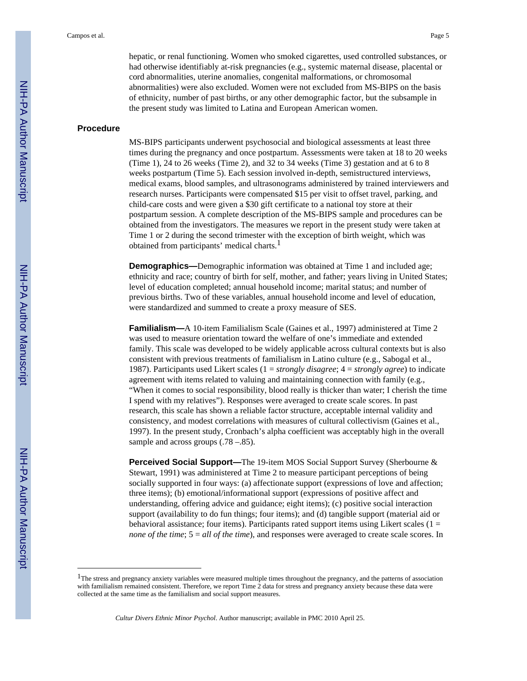hepatic, or renal functioning. Women who smoked cigarettes, used controlled substances, or had otherwise identifiably at-risk pregnancies (e.g., systemic maternal disease, placental or cord abnormalities, uterine anomalies, congenital malformations, or chromosomal abnormalities) were also excluded. Women were not excluded from MS-BIPS on the basis of ethnicity, number of past births, or any other demographic factor, but the subsample in the present study was limited to Latina and European American women.

#### **Procedure**

MS-BIPS participants underwent psychosocial and biological assessments at least three times during the pregnancy and once postpartum. Assessments were taken at 18 to 20 weeks (Time 1), 24 to 26 weeks (Time 2), and 32 to 34 weeks (Time 3) gestation and at 6 to 8 weeks postpartum (Time 5). Each session involved in-depth, semistructured interviews, medical exams, blood samples, and ultrasonograms administered by trained interviewers and research nurses. Participants were compensated \$15 per visit to offset travel, parking, and child-care costs and were given a \$30 gift certificate to a national toy store at their postpartum session. A complete description of the MS-BIPS sample and procedures can be obtained from the investigators. The measures we report in the present study were taken at Time 1 or 2 during the second trimester with the exception of birth weight, which was obtained from participants' medical charts.<sup>1</sup>

**Demographics—**Demographic information was obtained at Time 1 and included age; ethnicity and race; country of birth for self, mother, and father; years living in United States; level of education completed; annual household income; marital status; and number of previous births. Two of these variables, annual household income and level of education, were standardized and summed to create a proxy measure of SES.

**Familialism—**A 10-item Familialism Scale (Gaines et al., 1997) administered at Time 2 was used to measure orientation toward the welfare of one's immediate and extended family. This scale was developed to be widely applicable across cultural contexts but is also consistent with previous treatments of familialism in Latino culture (e.g., Sabogal et al., 1987). Participants used Likert scales (1 = *strongly disagree*; 4 = *strongly agree*) to indicate agreement with items related to valuing and maintaining connection with family (e.g., "When it comes to social responsibility, blood really is thicker than water; I cherish the time I spend with my relatives"). Responses were averaged to create scale scores. In past research, this scale has shown a reliable factor structure, acceptable internal validity and consistency, and modest correlations with measures of cultural collectivism (Gaines et al., 1997). In the present study, Cronbach's alpha coefficient was acceptably high in the overall sample and across groups (.78 –.85).

**Perceived Social Support—**The 19-item MOS Social Support Survey (Sherbourne & Stewart, 1991) was administered at Time 2 to measure participant perceptions of being socially supported in four ways: (a) affectionate support (expressions of love and affection; three items); (b) emotional/informational support (expressions of positive affect and understanding, offering advice and guidance; eight items); (c) positive social interaction support (availability to do fun things; four items); and (d) tangible support (material aid or behavioral assistance; four items). Participants rated support items using Likert scales ( $1 =$ *none of the time*;  $5 = all$  *of the time*), and responses were averaged to create scale scores. In

<sup>&</sup>lt;sup>1</sup>The stress and pregnancy anxiety variables were measured multiple times throughout the pregnancy, and the patterns of association with familialism remained consistent. Therefore, we report Time 2 data for stress and pregnancy anxiety because these data were collected at the same time as the familialism and social support measures.

*Cultur Divers Ethnic Minor Psychol*. Author manuscript; available in PMC 2010 April 25.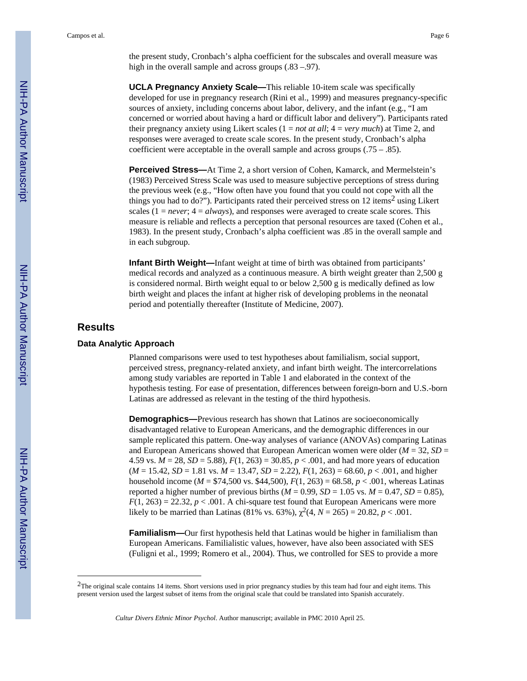the present study, Cronbach's alpha coefficient for the subscales and overall measure was high in the overall sample and across groups (.83 –.97).

**UCLA Pregnancy Anxiety Scale—**This reliable 10-item scale was specifically developed for use in pregnancy research (Rini et al., 1999) and measures pregnancy-specific sources of anxiety, including concerns about labor, delivery, and the infant (e.g., "I am concerned or worried about having a hard or difficult labor and delivery"). Participants rated their pregnancy anxiety using Likert scales (1 = *not at all*; 4 = *very much*) at Time 2, and responses were averaged to create scale scores. In the present study, Cronbach's alpha coefficient were acceptable in the overall sample and across groups  $(.75 - .85)$ .

**Perceived Stress—**At Time 2, a short version of Cohen, Kamarck, and Mermelstein's (1983) Perceived Stress Scale was used to measure subjective perceptions of stress during the previous week (e.g., "How often have you found that you could not cope with all the things you had to do?"). Participants rated their perceived stress on 12 items<sup>2</sup> using Likert scales  $(1 = never; 4 = always)$ , and responses were averaged to create scale scores. This measure is reliable and reflects a perception that personal resources are taxed (Cohen et al., 1983). In the present study, Cronbach's alpha coefficient was .85 in the overall sample and in each subgroup.

**Infant Birth Weight—**Infant weight at time of birth was obtained from participants' medical records and analyzed as a continuous measure. A birth weight greater than 2,500 g is considered normal. Birth weight equal to or below 2,500 g is medically defined as low birth weight and places the infant at higher risk of developing problems in the neonatal period and potentially thereafter (Institute of Medicine, 2007).

#### **Results**

#### **Data Analytic Approach**

Planned comparisons were used to test hypotheses about familialism, social support, perceived stress, pregnancy-related anxiety, and infant birth weight. The intercorrelations among study variables are reported in Table 1 and elaborated in the context of the hypothesis testing. For ease of presentation, differences between foreign-born and U.S.-born Latinas are addressed as relevant in the testing of the third hypothesis.

**Demographics—**Previous research has shown that Latinos are socioeconomically disadvantaged relative to European Americans, and the demographic differences in our sample replicated this pattern. One-way analyses of variance (ANOVAs) comparing Latinas and European Americans showed that European American women were older (*M* = 32, *SD* = 4.59 vs.  $M = 28$ ,  $SD = 5.88$ ,  $F(1, 263) = 30.85$ ,  $p < .001$ , and had more years of education  $(M = 15.42, SD = 1.81$  vs.  $M = 13.47, SD = 2.22$ ,  $F(1, 263) = 68.60, p < .001$ , and higher household income (*M* = \$74,500 vs. \$44,500), *F*(1, 263) = 68.58, *p* < .001, whereas Latinas reported a higher number of previous births ( $M = 0.99$ ,  $SD = 1.05$  vs.  $M = 0.47$ ,  $SD = 0.85$ ),  $F(1, 263) = 22.32$ ,  $p < .001$ . A chi-square test found that European Americans were more likely to be married than Latinas (81% vs. 63%),  $\chi^2(4, N = 265) = 20.82, p < .001$ .

**Familialism—**Our first hypothesis held that Latinas would be higher in familialism than European Americans. Familialistic values, however, have also been associated with SES (Fuligni et al., 1999; Romero et al., 2004). Thus, we controlled for SES to provide a more

<sup>&</sup>lt;sup>2</sup>The original scale contains 14 items. Short versions used in prior pregnancy studies by this team had four and eight items. This present version used the largest subset of items from the original scale that could be translated into Spanish accurately.

*Cultur Divers Ethnic Minor Psychol*. Author manuscript; available in PMC 2010 April 25.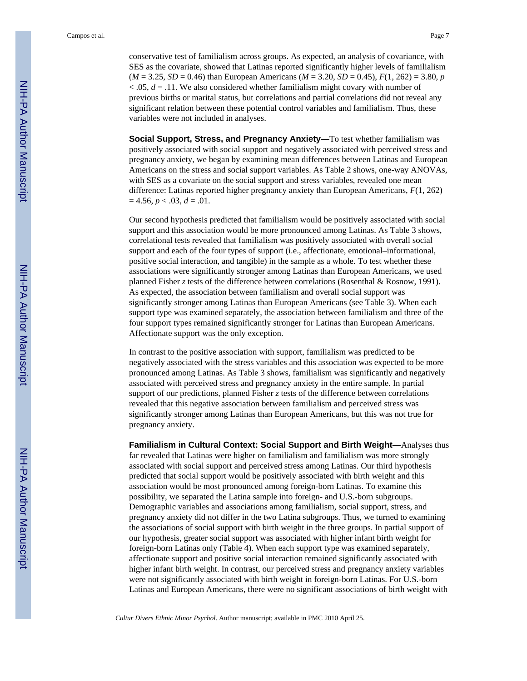Campos et al. Page 7

conservative test of familialism across groups. As expected, an analysis of covariance, with SES as the covariate, showed that Latinas reported significantly higher levels of familialism  $(M = 3.25, SD = 0.46)$  than European Americans  $(M = 3.20, SD = 0.45)$ ,  $F(1, 262) = 3.80, p$  $< .05, d = .11$ . We also considered whether familialism might covary with number of previous births or marital status, but correlations and partial correlations did not reveal any significant relation between these potential control variables and familialism. Thus, these variables were not included in analyses.

**Social Support, Stress, and Pregnancy Anxiety—**To test whether familialism was positively associated with social support and negatively associated with perceived stress and pregnancy anxiety, we began by examining mean differences between Latinas and European Americans on the stress and social support variables. As Table 2 shows, one-way ANOVAs, with SES as a covariate on the social support and stress variables, revealed one mean difference: Latinas reported higher pregnancy anxiety than European Americans, *F*(1, 262)  $= 4.56, p < .03, d = .01.$ 

Our second hypothesis predicted that familialism would be positively associated with social support and this association would be more pronounced among Latinas. As Table 3 shows, correlational tests revealed that familialism was positively associated with overall social support and each of the four types of support (i.e., affectionate, emotional–informational, positive social interaction, and tangible) in the sample as a whole. To test whether these associations were significantly stronger among Latinas than European Americans, we used planned Fisher *z* tests of the difference between correlations (Rosenthal & Rosnow, 1991). As expected, the association between familialism and overall social support was significantly stronger among Latinas than European Americans (see Table 3). When each support type was examined separately, the association between familialism and three of the four support types remained significantly stronger for Latinas than European Americans. Affectionate support was the only exception.

In contrast to the positive association with support, familialism was predicted to be negatively associated with the stress variables and this association was expected to be more pronounced among Latinas. As Table 3 shows, familialism was significantly and negatively associated with perceived stress and pregnancy anxiety in the entire sample. In partial support of our predictions, planned Fisher *z* tests of the difference between correlations revealed that this negative association between familialism and perceived stress was significantly stronger among Latinas than European Americans, but this was not true for pregnancy anxiety.

**Familialism in Cultural Context: Social Support and Birth Weight—**Analyses thus far revealed that Latinas were higher on familialism and familialism was more strongly associated with social support and perceived stress among Latinas. Our third hypothesis predicted that social support would be positively associated with birth weight and this association would be most pronounced among foreign-born Latinas. To examine this possibility, we separated the Latina sample into foreign- and U.S.-born subgroups. Demographic variables and associations among familialism, social support, stress, and pregnancy anxiety did not differ in the two Latina subgroups. Thus, we turned to examining the associations of social support with birth weight in the three groups. In partial support of our hypothesis, greater social support was associated with higher infant birth weight for foreign-born Latinas only (Table 4). When each support type was examined separately, affectionate support and positive social interaction remained significantly associated with higher infant birth weight. In contrast, our perceived stress and pregnancy anxiety variables were not significantly associated with birth weight in foreign-born Latinas. For U.S.-born Latinas and European Americans, there were no significant associations of birth weight with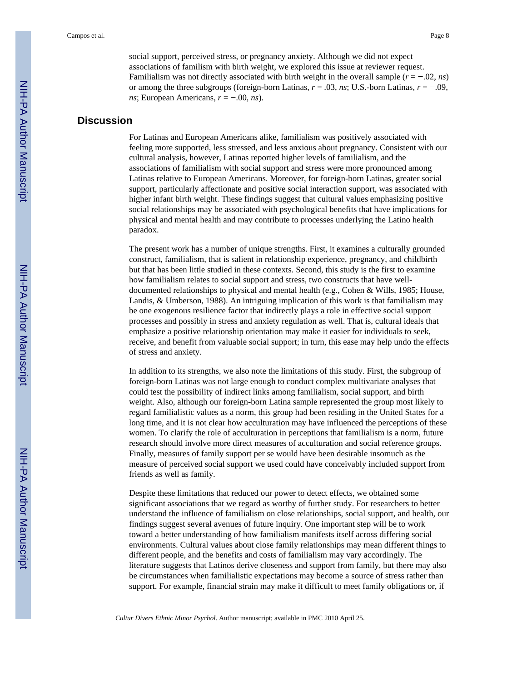social support, perceived stress, or pregnancy anxiety. Although we did not expect associations of familism with birth weight, we explored this issue at reviewer request. Familialism was not directly associated with birth weight in the overall sample  $(r = -0.02, ns)$ or among the three subgroups (foreign-born Latinas,  $r = .03$ , *ns*; U.S.-born Latinas,  $r = -.09$ , *ns*; European Americans, *r* = −.00, *ns*).

#### **Discussion**

For Latinas and European Americans alike, familialism was positively associated with feeling more supported, less stressed, and less anxious about pregnancy. Consistent with our cultural analysis, however, Latinas reported higher levels of familialism, and the associations of familialism with social support and stress were more pronounced among Latinas relative to European Americans. Moreover, for foreign-born Latinas, greater social support, particularly affectionate and positive social interaction support, was associated with higher infant birth weight. These findings suggest that cultural values emphasizing positive social relationships may be associated with psychological benefits that have implications for physical and mental health and may contribute to processes underlying the Latino health paradox.

The present work has a number of unique strengths. First, it examines a culturally grounded construct, familialism, that is salient in relationship experience, pregnancy, and childbirth but that has been little studied in these contexts. Second, this study is the first to examine how familialism relates to social support and stress, two constructs that have welldocumented relationships to physical and mental health (e.g., Cohen & Wills, 1985; House, Landis, & Umberson, 1988). An intriguing implication of this work is that familialism may be one exogenous resilience factor that indirectly plays a role in effective social support processes and possibly in stress and anxiety regulation as well. That is, cultural ideals that emphasize a positive relationship orientation may make it easier for individuals to seek, receive, and benefit from valuable social support; in turn, this ease may help undo the effects of stress and anxiety.

In addition to its strengths, we also note the limitations of this study. First, the subgroup of foreign-born Latinas was not large enough to conduct complex multivariate analyses that could test the possibility of indirect links among familialism, social support, and birth weight. Also, although our foreign-born Latina sample represented the group most likely to regard familialistic values as a norm, this group had been residing in the United States for a long time, and it is not clear how acculturation may have influenced the perceptions of these women. To clarify the role of acculturation in perceptions that familialism is a norm, future research should involve more direct measures of acculturation and social reference groups. Finally, measures of family support per se would have been desirable insomuch as the measure of perceived social support we used could have conceivably included support from friends as well as family.

Despite these limitations that reduced our power to detect effects, we obtained some significant associations that we regard as worthy of further study. For researchers to better understand the influence of familialism on close relationships, social support, and health, our findings suggest several avenues of future inquiry. One important step will be to work toward a better understanding of how familialism manifests itself across differing social environments. Cultural values about close family relationships may mean different things to different people, and the benefits and costs of familialism may vary accordingly. The literature suggests that Latinos derive closeness and support from family, but there may also be circumstances when familialistic expectations may become a source of stress rather than support. For example, financial strain may make it difficult to meet family obligations or, if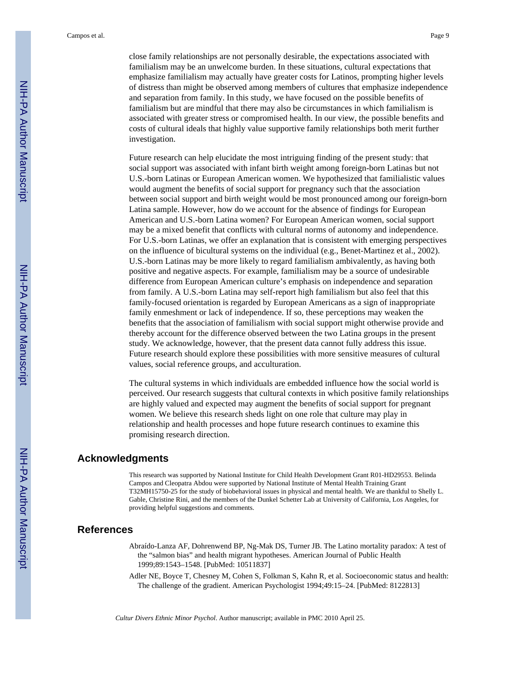Campos et al. Page 9

close family relationships are not personally desirable, the expectations associated with familialism may be an unwelcome burden. In these situations, cultural expectations that emphasize familialism may actually have greater costs for Latinos, prompting higher levels of distress than might be observed among members of cultures that emphasize independence and separation from family. In this study, we have focused on the possible benefits of familialism but are mindful that there may also be circumstances in which familialism is associated with greater stress or compromised health. In our view, the possible benefits and costs of cultural ideals that highly value supportive family relationships both merit further investigation.

Future research can help elucidate the most intriguing finding of the present study: that social support was associated with infant birth weight among foreign-born Latinas but not U.S.-born Latinas or European American women. We hypothesized that familialistic values would augment the benefits of social support for pregnancy such that the association between social support and birth weight would be most pronounced among our foreign-born Latina sample. However, how do we account for the absence of findings for European American and U.S.-born Latina women? For European American women, social support may be a mixed benefit that conflicts with cultural norms of autonomy and independence. For U.S.-born Latinas, we offer an explanation that is consistent with emerging perspectives on the influence of bicultural systems on the individual (e.g., Benet-Martinez et al., 2002). U.S.-born Latinas may be more likely to regard familialism ambivalently, as having both positive and negative aspects. For example, familialism may be a source of undesirable difference from European American culture's emphasis on independence and separation from family. A U.S.-born Latina may self-report high familialism but also feel that this family-focused orientation is regarded by European Americans as a sign of inappropriate family enmeshment or lack of independence. If so, these perceptions may weaken the benefits that the association of familialism with social support might otherwise provide and thereby account for the difference observed between the two Latina groups in the present study. We acknowledge, however, that the present data cannot fully address this issue. Future research should explore these possibilities with more sensitive measures of cultural values, social reference groups, and acculturation.

The cultural systems in which individuals are embedded influence how the social world is perceived. Our research suggests that cultural contexts in which positive family relationships are highly valued and expected may augment the benefits of social support for pregnant women. We believe this research sheds light on one role that culture may play in relationship and health processes and hope future research continues to examine this promising research direction.

#### **Acknowledgments**

This research was supported by National Institute for Child Health Development Grant R01-HD29553. Belinda Campos and Cleopatra Abdou were supported by National Institute of Mental Health Training Grant T32MH15750-25 for the study of biobehavioral issues in physical and mental health. We are thankful to Shelly L. Gable, Christine Rini, and the members of the Dunkel Schetter Lab at University of California, Los Angeles, for providing helpful suggestions and comments.

#### **References**

- Abraído-Lanza AF, Dohrenwend BP, Ng-Mak DS, Turner JB. The Latino mortality paradox: A test of the "salmon bias" and health migrant hypotheses. American Journal of Public Health 1999;89:1543–1548. [PubMed: 10511837]
- Adler NE, Boyce T, Chesney M, Cohen S, Folkman S, Kahn R, et al. Socioeconomic status and health: The challenge of the gradient. American Psychologist 1994;49:15–24. [PubMed: 8122813]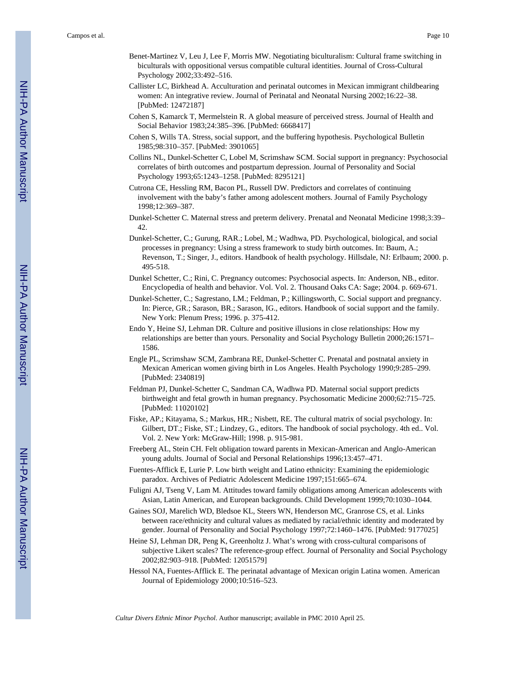- Benet-Martinez V, Leu J, Lee F, Morris MW. Negotiating biculturalism: Cultural frame switching in biculturals with oppositional versus compatible cultural identities. Journal of Cross-Cultural Psychology 2002;33:492–516.
- Callister LC, Birkhead A. Acculturation and perinatal outcomes in Mexican immigrant childbearing women: An integrative review. Journal of Perinatal and Neonatal Nursing 2002;16:22–38. [PubMed: 12472187]
- Cohen S, Kamarck T, Mermelstein R. A global measure of perceived stress. Journal of Health and Social Behavior 1983;24:385–396. [PubMed: 6668417]
- Cohen S, Wills TA. Stress, social support, and the buffering hypothesis. Psychological Bulletin 1985;98:310–357. [PubMed: 3901065]
- Collins NL, Dunkel-Schetter C, Lobel M, Scrimshaw SCM. Social support in pregnancy: Psychosocial correlates of birth outcomes and postpartum depression. Journal of Personality and Social Psychology 1993;65:1243–1258. [PubMed: 8295121]
- Cutrona CE, Hessling RM, Bacon PL, Russell DW. Predictors and correlates of continuing involvement with the baby's father among adolescent mothers. Journal of Family Psychology 1998;12:369–387.
- Dunkel-Schetter C. Maternal stress and preterm delivery. Prenatal and Neonatal Medicine 1998;3:39– 42.
- Dunkel-Schetter, C.; Gurung, RAR.; Lobel, M.; Wadhwa, PD. Psychological, biological, and social processes in pregnancy: Using a stress framework to study birth outcomes. In: Baum, A.; Revenson, T.; Singer, J., editors. Handbook of health psychology. Hillsdale, NJ: Erlbaum; 2000. p. 495-518.
- Dunkel Schetter, C.; Rini, C. Pregnancy outcomes: Psychosocial aspects. In: Anderson, NB., editor. Encyclopedia of health and behavior. Vol. Vol. 2. Thousand Oaks CA: Sage; 2004. p. 669-671.
- Dunkel-Schetter, C.; Sagrestano, LM.; Feldman, P.; Killingsworth, C. Social support and pregnancy. In: Pierce, GR.; Sarason, BR.; Sarason, IG., editors. Handbook of social support and the family. New York: Plenum Press; 1996. p. 375-412.
- Endo Y, Heine SJ, Lehman DR. Culture and positive illusions in close relationships: How my relationships are better than yours. Personality and Social Psychology Bulletin 2000;26:1571– 1586.
- Engle PL, Scrimshaw SCM, Zambrana RE, Dunkel-Schetter C. Prenatal and postnatal anxiety in Mexican American women giving birth in Los Angeles. Health Psychology 1990;9:285–299. [PubMed: 2340819]
- Feldman PJ, Dunkel-Schetter C, Sandman CA, Wadhwa PD. Maternal social support predicts birthweight and fetal growth in human pregnancy. Psychosomatic Medicine 2000;62:715–725. [PubMed: 11020102]
- Fiske, AP.; Kitayama, S.; Markus, HR.; Nisbett, RE. The cultural matrix of social psychology. In: Gilbert, DT.; Fiske, ST.; Lindzey, G., editors. The handbook of social psychology. 4th ed.. Vol. Vol. 2. New York: McGraw-Hill; 1998. p. 915-981.
- Freeberg AL, Stein CH. Felt obligation toward parents in Mexican-American and Anglo-American young adults. Journal of Social and Personal Relationships 1996;13:457–471.
- Fuentes-Afflick E, Lurie P. Low birth weight and Latino ethnicity: Examining the epidemiologic paradox. Archives of Pediatric Adolescent Medicine 1997;151:665–674.
- Fuligni AJ, Tseng V, Lam M. Attitudes toward family obligations among American adolescents with Asian, Latin American, and European backgrounds. Child Development 1999;70:1030–1044.
- Gaines SOJ, Marelich WD, Bledsoe KL, Steers WN, Henderson MC, Granrose CS, et al. Links between race/ethnicity and cultural values as mediated by racial/ethnic identity and moderated by gender. Journal of Personality and Social Psychology 1997;72:1460–1476. [PubMed: 9177025]
- Heine SJ, Lehman DR, Peng K, Greenholtz J. What's wrong with cross-cultural comparisons of subjective Likert scales? The reference-group effect. Journal of Personality and Social Psychology 2002;82:903–918. [PubMed: 12051579]
- Hessol NA, Fuentes-Afflick E. The perinatal advantage of Mexican origin Latina women. American Journal of Epidemiology 2000;10:516–523.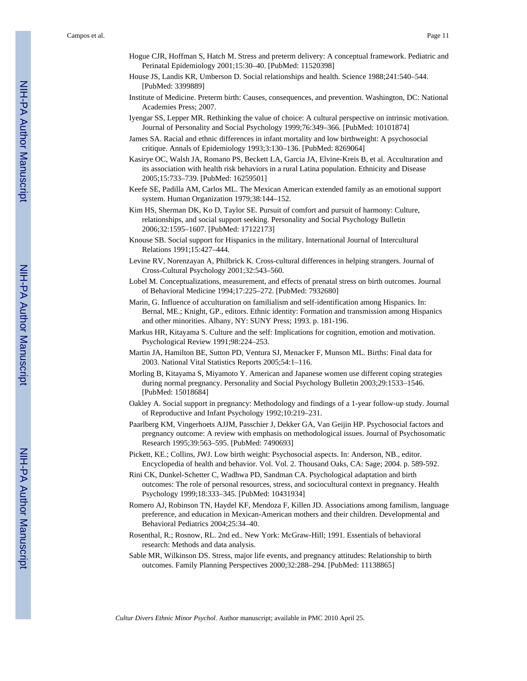- Hogue CJR, Hoffman S, Hatch M. Stress and preterm delivery: A conceptual framework. Pediatric and Perinatal Epidemiology 2001;15:30–40. [PubMed: 11520398]
- House JS, Landis KR, Umberson D. Social relationships and health. Science 1988;241:540–544. [PubMed: 3399889]
- Institute of Medicine. Preterm birth: Causes, consequences, and prevention. Washington, DC: National Academies Press; 2007.
- Iyengar SS, Lepper MR. Rethinking the value of choice: A cultural perspective on intrinsic motivation. Journal of Personality and Social Psychology 1999;76:349–366. [PubMed: 10101874]
- James SA. Racial and ethnic differences in infant mortality and low birthweight: A psychosocial critique. Annals of Epidemiology 1993;3:130–136. [PubMed: 8269064]
- Kasirye OC, Walsh JA, Romano PS, Beckett LA, Garcia JA, Elvine-Kreis B, et al. Acculturation and its association with health risk behaviors in a rural Latina population. Ethnicity and Disease 2005;15:733–739. [PubMed: 16259501]
- Keefe SE, Padilla AM, Carlos ML. The Mexican American extended family as an emotional support system. Human Organization 1979;38:144–152.
- Kim HS, Sherman DK, Ko D, Taylor SE. Pursuit of comfort and pursuit of harmony: Culture, relationships, and social support seeking. Personality and Social Psychology Bulletin 2006;32:1595–1607. [PubMed: 17122173]
- Knouse SB. Social support for Hispanics in the military. International Journal of Intercultural Relations 1991;15:427–444.
- Levine RV, Norenzayan A, Philbrick K. Cross-cultural differences in helping strangers. Journal of Cross-Cultural Psychology 2001;32:543–560.
- Lobel M. Conceptualizations, measurement, and effects of prenatal stress on birth outcomes. Journal of Behavioral Medicine 1994;17:225–272. [PubMed: 7932680]
- Marin, G. Influence of acculturation on familialism and self-identification among Hispanics. In: Bernal, ME.; Knight, GP., editors. Ethnic identity: Formation and transmission among Hispanics and other minorities. Albany, NY: SUNY Press; 1993. p. 181-196.
- Markus HR, Kitayama S. Culture and the self: Implications for cognition, emotion and motivation. Psychological Review 1991;98:224–253.
- Martin JA, Hamilton BE, Sutton PD, Ventura SJ, Menacker F, Munson ML. Births: Final data for 2003. National Vital Statistics Reports 2005;54:1–116.
- Morling B, Kitayama S, Miyamoto Y. American and Japanese women use different coping strategies during normal pregnancy. Personality and Social Psychology Bulletin 2003;29:1533–1546. [PubMed: 15018684]
- Oakley A. Social support in pregnancy: Methodology and findings of a 1-year follow-up study. Journal of Reproductive and Infant Psychology 1992;10:219–231.
- Paarlberg KM, Vingerhoets AJJM, Passchier J, Dekker GA, Van Geijin HP. Psychosocial factors and pregnancy outcome: A review with emphasis on methodological issues. Journal of Psychosomatic Research 1995;39:563–595. [PubMed: 7490693]
- Pickett, KE.; Collins, JWJ. Low birth weight: Psychosocial aspects. In: Anderson, NB., editor. Encyclopedia of health and behavior. Vol. Vol. 2. Thousand Oaks, CA: Sage; 2004. p. 589-592.
- Rini CK, Dunkel-Schetter C, Wadhwa PD, Sandman CA. Psychological adaptation and birth outcomes: The role of personal resources, stress, and sociocultural context in pregnancy. Health Psychology 1999;18:333–345. [PubMed: 10431934]
- Romero AJ, Robinson TN, Haydel KF, Mendoza F, Killen JD. Associations among familism, language preference, and education in Mexican-American mothers and their children. Developmental and Behavioral Pediatrics 2004;25:34–40.
- Rosenthal, R.; Rosnow, RL. 2nd ed.. New York: McGraw-Hill; 1991. Essentials of behavioral research: Methods and data analysis.
- Sable MR, Wilkinson DS. Stress, major life events, and pregnancy attitudes: Relationship to birth outcomes. Family Planning Perspectives 2000;32:288–294. [PubMed: 11138865]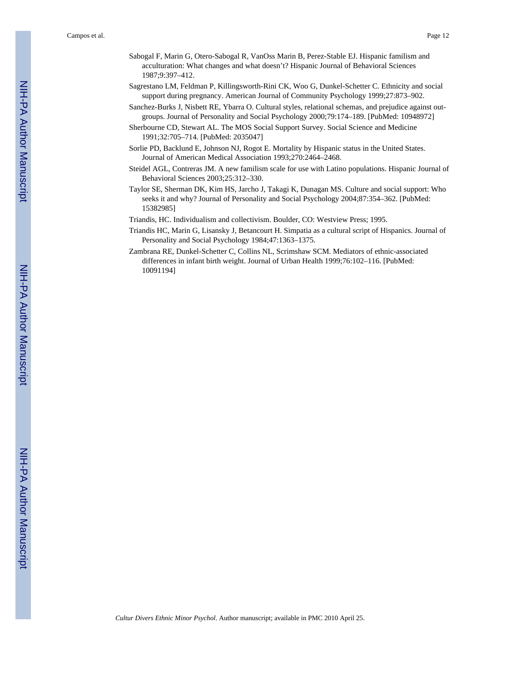- Sabogal F, Marin G, Otero-Sabogal R, VanOss Marin B, Perez-Stable EJ. Hispanic familism and acculturation: What changes and what doesn't? Hispanic Journal of Behavioral Sciences 1987;9:397–412.
- Sagrestano LM, Feldman P, Killingsworth-Rini CK, Woo G, Dunkel-Schetter C. Ethnicity and social support during pregnancy. American Journal of Community Psychology 1999;27:873–902.
- Sanchez-Burks J, Nisbett RE, Ybarra O. Cultural styles, relational schemas, and prejudice against outgroups. Journal of Personality and Social Psychology 2000;79:174–189. [PubMed: 10948972]
- Sherbourne CD, Stewart AL. The MOS Social Support Survey. Social Science and Medicine 1991;32:705–714. [PubMed: 2035047]
- Sorlie PD, Backlund E, Johnson NJ, Rogot E. Mortality by Hispanic status in the United States. Journal of American Medical Association 1993;270:2464–2468.
- Steidel AGL, Contreras JM. A new familism scale for use with Latino populations. Hispanic Journal of Behavioral Sciences 2003;25:312–330.
- Taylor SE, Sherman DK, Kim HS, Jarcho J, Takagi K, Dunagan MS. Culture and social support: Who seeks it and why? Journal of Personality and Social Psychology 2004;87:354–362. [PubMed: 15382985]
- Triandis, HC. Individualism and collectivism. Boulder, CO: Westview Press; 1995.
- Triandis HC, Marin G, Lisansky J, Betancourt H. Simpatia as a cultural script of Hispanics. Journal of Personality and Social Psychology 1984;47:1363–1375.
- Zambrana RE, Dunkel-Schetter C, Collins NL, Scrimshaw SCM. Mediators of ethnic-associated differences in infant birth weight. Journal of Urban Health 1999;76:102–116. [PubMed: 10091194]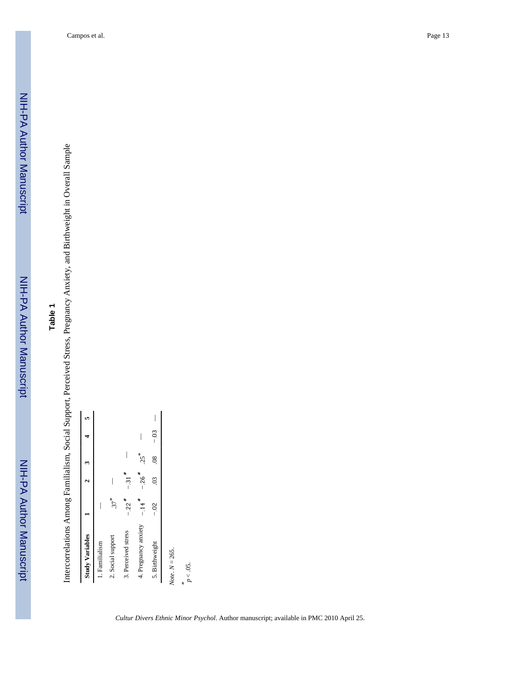# **Table 1**

Intercorrelations Among Familialism, Social Support, Perceived Stress, Pregnancy Anxiety, and Birthweight in Overall Sample Intercorrelations Among Familialism, Social Support, Perceived Stress, Pregnancy Anxiety, and Birthweight in Overall Sample

| <b>Study Variables</b> |                   |                     |           |        |  |
|------------------------|-------------------|---------------------|-----------|--------|--|
| 1. Familialism         |                   |                     |           |        |  |
| 2. Social support      | $37$ <sup>*</sup> |                     |           |        |  |
| 3. Perceived stress    | $-.22*$           | $-31$ <sup>*</sup>  |           |        |  |
| 4. Pregnancy anxiety   | $-14$             | $-.26$ <sup>*</sup> | $25*$     |        |  |
| 5. Birthweight         | $-0.2$            | $\ddot{\rm}$        | $\approx$ | $-0.3$ |  |
| Note. $N = 265$ .      |                   |                     |           |        |  |
| $p < 0.5$ .            |                   |                     |           |        |  |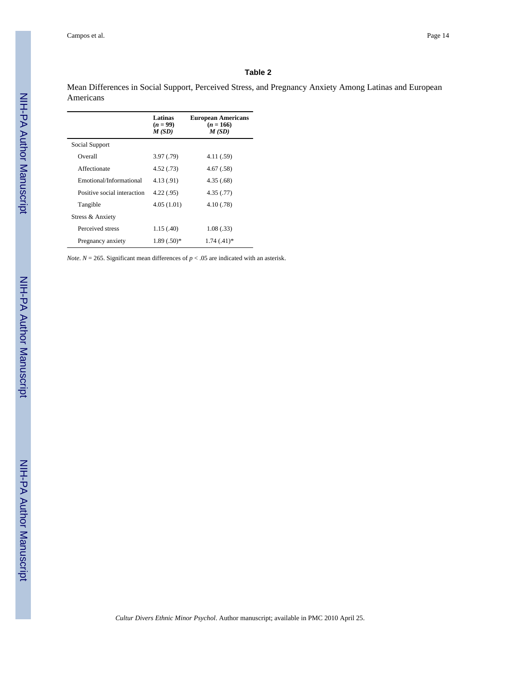#### **Table 2**

Mean Differences in Social Support, Perceived Stress, and Pregnancy Anxiety Among Latinas and European Americans

|                             | Latinas<br>$(n = 99)$<br>M(SD) | <b>European Americans</b><br>$(n = 166)$<br>M(SD) |
|-----------------------------|--------------------------------|---------------------------------------------------|
| Social Support              |                                |                                                   |
| Overall                     | 3.97(0.79)                     | 4.11 (.59)                                        |
| Affectionate                | 4.52(0.73)                     | 4.67 (.58)                                        |
| Emotional/Informational     | 4.13(.91)                      | 4.35(.68)                                         |
| Positive social interaction | 4.22 (.95)                     | 4.35 (.77)                                        |
| Tangible                    | 4.05(1.01)                     | 4.10(0.78)                                        |
| Stress & Anxiety            |                                |                                                   |
| Perceived stress            | 1.15(.40)                      | 1.08(.33)                                         |
| Pregnancy anxiety           | $1.89(.50)*$                   | $1.74(0.41)*$                                     |

*Note*.  $N = 265$ . Significant mean differences of  $p < .05$  are indicated with an asterisk.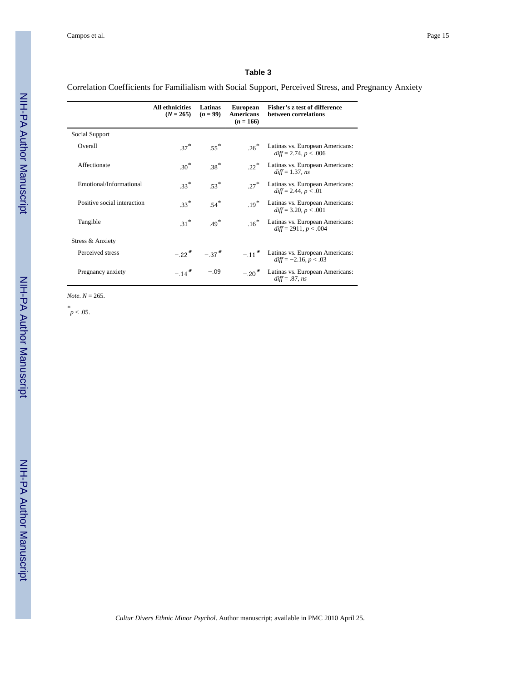#### **Table 3**

Correlation Coefficients for Familialism with Social Support, Perceived Stress, and Pregnancy Anxiety

|                             | All ethnicities<br>$(N = 265)$ | Latinas<br>$(n = 99)$                 | <b>European</b><br><b>Americans</b><br>$(n = 166)$ | Fisher's z test of difference<br>between correlations                         |
|-----------------------------|--------------------------------|---------------------------------------|----------------------------------------------------|-------------------------------------------------------------------------------|
| Social Support              |                                |                                       |                                                    |                                                                               |
| Overall                     | $37*$                          | $.55*$                                | $26^*$                                             | Latinas vs. European Americans:<br>$diff = 2.74, p < .006$                    |
| Affectionate                | $30*$                          | $38*$                                 | $22^*$                                             | Latinas vs. European Americans:<br>$diff = 1.37$ , ns                         |
| Emotional/Informational     | $33*$                          | $.53*$                                | $27*$                                              | Latinas vs. European Americans:<br>$diff = 2.44, p < .01$                     |
| Positive social interaction | $33*$                          | $.54*$                                | $19*$                                              | Latinas vs. European Americans:<br>$diff = 3.20, p < .001$                    |
| Tangible                    | $31*$                          | $.49*$                                | $.16*$                                             | Latinas vs. European Americans:<br>$diff = 2911, p < .004$                    |
| Stress & Anxiety            |                                |                                       |                                                    |                                                                               |
| Perceived stress            |                                | $-22$ <sup>*</sup> $-37$ <sup>*</sup> |                                                    | $-11$ <sup>*</sup> Latinas vs. European Americans:<br>$diff = -2.16, p < .03$ |
| Pregnancy anxiety           | $-.14$ <sup>*</sup>            | $-.09$                                | $-20$ <sup>*</sup>                                 | Latinas vs. European Americans:<br>$diff = .87$ , ns                          |

*Note*. *N* = 265.

 $^{*}$ *p* < .05.